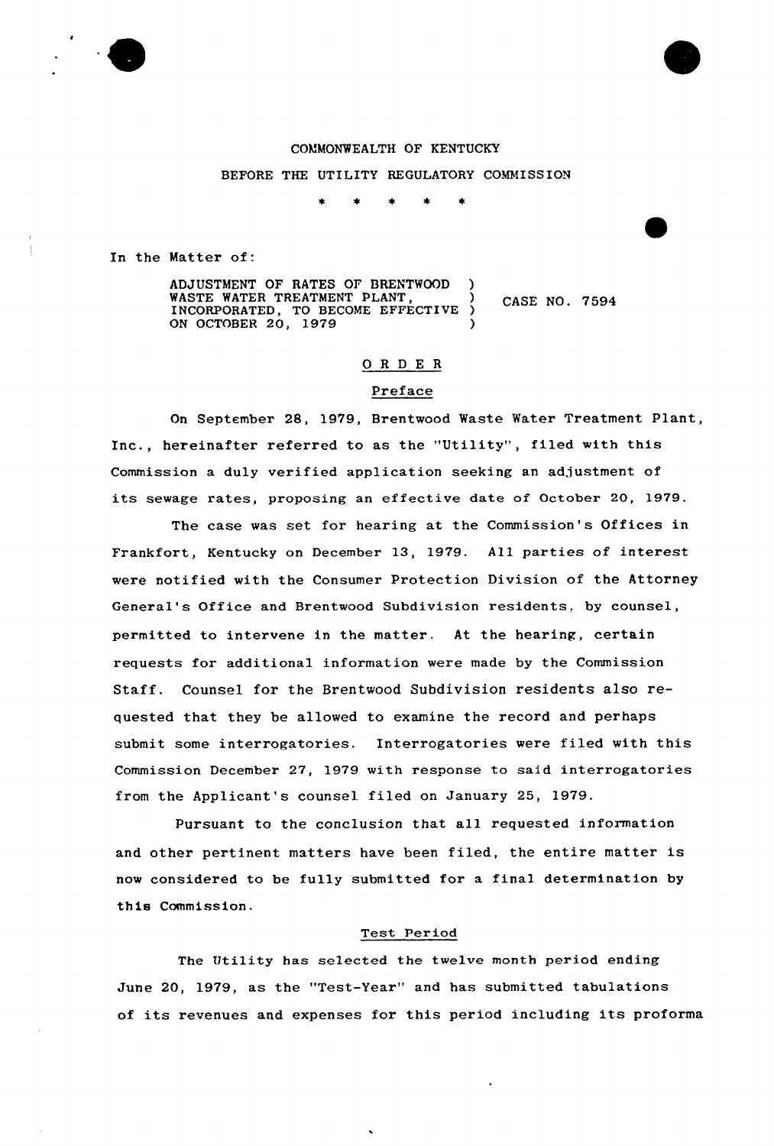

BEFORE THE UTILITY REGULATORY COMMISSION

In the Matter of:

ADJUSTMENT OF RATES OF BRENTWOOD ) WASTE WATER TREATMENT PLANT,  $\overrightarrow{O}$  CASE NO. 7594 INCORPORATED, TO BECOME EFFECTIVE ON OCTOBER 20, 1979

# ORDER

#### Preface

On September 28, 1979, Brentwood Waste Water Treatment Plant, Inc., hereinafter referred to as the "Utility", filed with this Commission a duly verified application seeking an adjustment of its sewage rates, proposing an effective date of October 20, 1979.

The case was set for hearing at the Commission's Offices in Frankfort, Kentucky on December 13, 1979. All parties of interest were notified with the Consumer Protection Division of the Attorney General's Office and Brentwood Subdivision residents, by counsel, permitted to intervene in the matter. At the hearing, certain requests for additional information were made by the Commission Staff. Counsel for the Brentwood Subdivision residents also requested that they be allowed to examine the record and perhaps submit some interrogatories. Interrogatories were filed with this Commission December 27, 1979 with response to said interrogatories from the Applicant's counsel filed on January 25, 1979.

Pursuant to the conclusion that all requested information and other pertinent matters have been filed, the entire matter is now considered to be fully submitted for a final determination by this Commission.

#### Test Period

The Uti1ity has selected the twelve month period ending June 20, 1979, as the "Test-Year" and has submitted tabulations of its revenues and expenses for this period including its proforma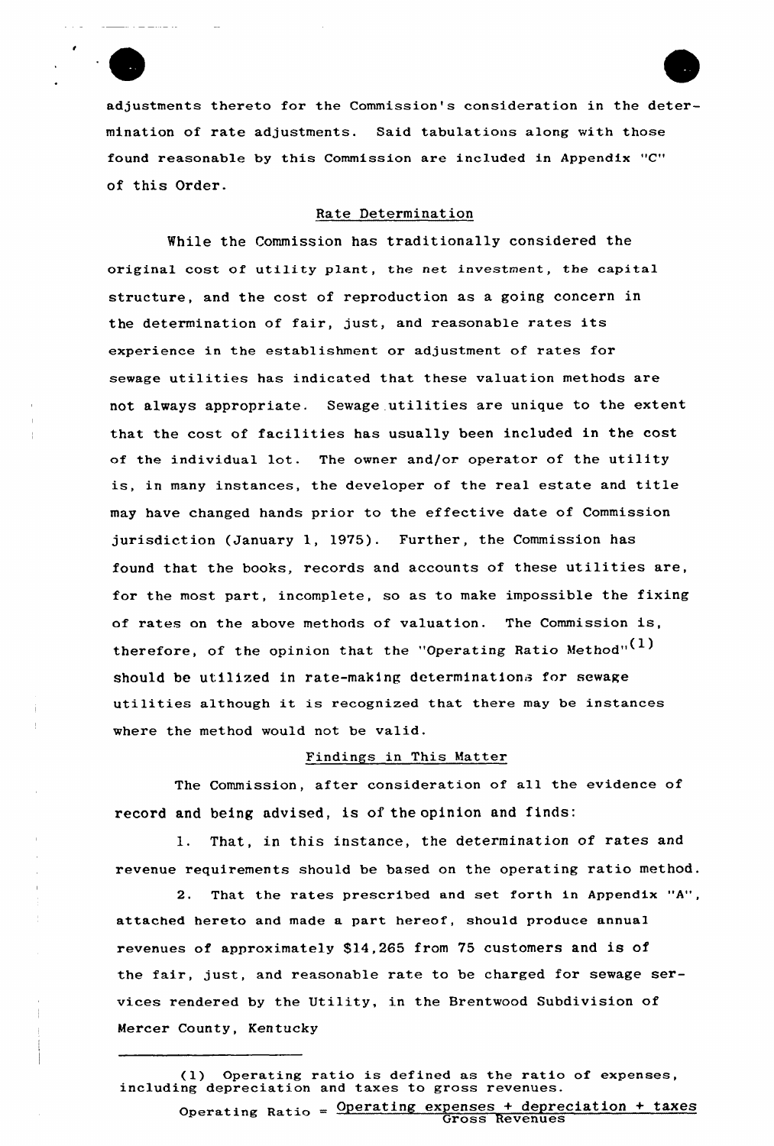adjustments thereto for the Commission's consideration in the determination of rate adjustments. Said tabulations along with those found reasonable by this Commission are included in Appendix "C" of this Order.

#### Rate Determination

While the Commission has traditionally considered the original cost of utility plant, the net investment, the capital structure, and the cost of reproduction as a going concern in the determination of fair, just, and reasonable rates its experience in the establishment or adjustment of rates for sewage utilities has indicated that these valuation methods are not always appropriate. Sewage utilities are unique to the extent that the cost of facilities has usually been included in the cost of the individual lot. The owner and/or operator of the utility is, in many instances, the developer of the real estate and title may have changed hands prior to the effective date of Commission jurisdiction (January 1, 1975). Further, the Commission has found that the books, records and accounts of these utilities are, for the most part, incomplete, so as to make impossible the fixing of rates on the above methods of valuation. The Commission is, therefore, of the opinion that the "Operating Ratio Method" $(1)$ should be utilized in rate-making determinations for sewage utilities although it is recognized that there may be instances where the method would not be valid.

#### Findings in This Matter

The Commission, after consideration of all the evidence of record and being advised, is of the opinion and finds:

1. That, in this instance, the determination of rates and revenue requirements should be based on the operating ratio method.

2. That the rates prescribed and set forth in Appendix "A", attached hereto and made a part hereof, should produce annual revenues of approximately \$14,265 from 75 customers and is of the fair, just, and reasonable rate to be charged for sewage services rendered by the Utility, in the Brentwood Subdivision of Mercer County, Kentucky

## (1) Operating ratio is def ined as the ratio of expenses, including depreciation and taxes to gross revenues.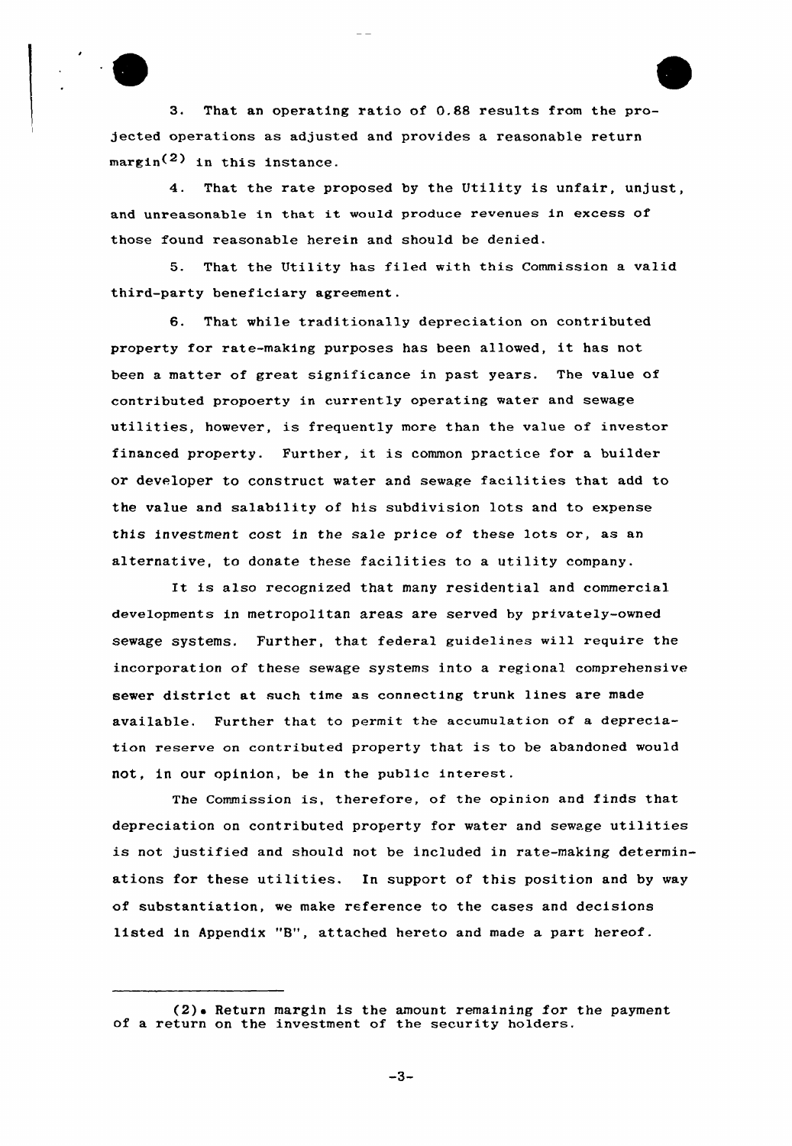3. That an operating ratio of 0.88 results from the projected operations as adjusted and provides a reasonable return  $\text{margin}^{(2)}$  in this instance.

4. That the rate proposed by the Utility is unfair, unjust, and unreasonable in that it would produce revenues in excess of those found reasonable herein and should be denied.

5. That the Utility has filed with this Commission a valid third-party beneficiary agreement.

6. That while traditionally depreciation on contributed property for rate-making purposes has been allowed, it has not been a matter of great significance in past years. The value of contributed propoerty in currently operating water and sewage utilities, however, is frequently more than the value of investor financed property. Further, it is common practice for <sup>a</sup> builder or developer to construct water and sewage facilities that add to the value and salability of his subdivision lots and to expense this investment cost in the sale price of these lots or, as an alternative, to donate these facilities to a utility company.

It is also recognized that many residential and commercial developments in metropolitan areas are served by privately-owned sewage systems. Further, that federal guidelines will require the incorporation of these sewage systems into a regional comprehensive sewer district at such time as connecting trunk lines are made available. Further that to permit the accumulation of a depreciation reserve on contributed property that is to be abandoned would not, in our opinion, be in the public interest.

The Commission is, therefore, of the opinion and finds that depreciation on contributed property for water and sewage utilities is not justified and should not be included in rate-making determinations for these utilities. In support of this position and by way of substantiation, we make reference to the cases and decisions listed in Appendix "B", attached hereto and made a part hereof.

 $-3-$ 

<sup>(2).</sup> Return margin is the amount remaining for the payment of a return on the investment of the security holders.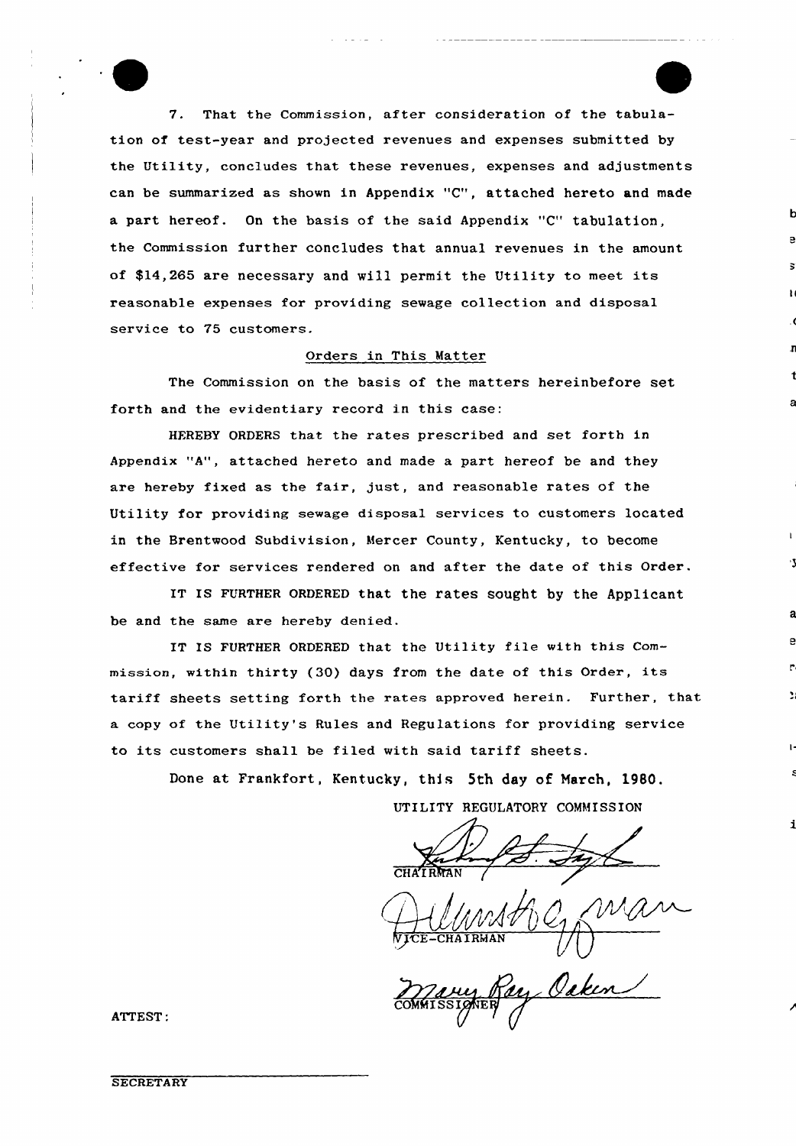7. That the Commission, after consideration of the tabulation of test-year and projected revenues and expenses submitted by the Utility, concludes that these revenues, expenses and adjustments can be summarized as shown in Appendix "C", attached hereto and made a part hereof. On the basis of the said Appendix "C" tabulation, the Commission further concludes that annual revenues in the amount of \$14,265 are necessary and will permit the Utility to meet its reasonable expenses for providing sewage collection and disposal service to 75 customers.

#### Orders in This Matter

The Commissian on the basis of the matters hereinbefore set forth and the evidentiary record in this case:

HEREBY ORDERS that the rates prescribed and set forth in Appendix "A", attached hereto and made a part hereof be and they are hereby fixed as the fair, just, and reasonable rates of the Utility for providing sewage disposal services to customers located in the Brentwood Subdivision, Mercer County, Kentucky, to become effective for services rendered on and after the date of this Order.

IT IS FURTHER ORDERED that the rates sought by the Applicant be and the same are hereby denied.

IT IS FURTHER ORDERED that the Utility file with this Commission, within thirty (30) days from the date of this Order, its tariff sheets setting forth the rates approved herein. Further, that a copy of the Utility's Rules and Regulations for providing service to its customers shall be filed with said tariff sheets.

Done at Frankfort, Kentucky, this 5th day of March, 1980.

UTILITY REGULATORY COMMISSION

V<del>ICE-CHA</del>IRMA

ATTEST:

**SECRETARY**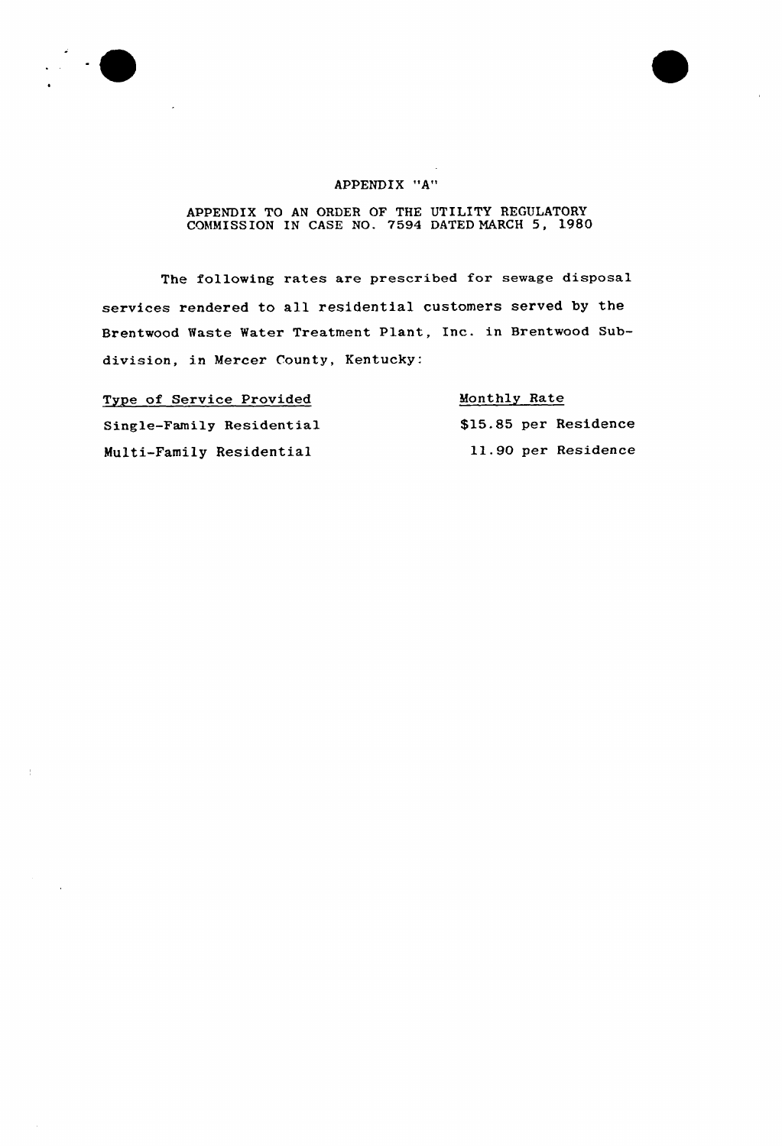



## APPENDIX "A"

#### APPENDIX TO AN ORDER OF THE UTILITY REGULATORY COMMISSION IN CASE NO. 7594 DATED NARCH 5, 1980

The following rates are prescribed for sewage disposal services rendered to all residential customers served by the Brentwood Waste Water Treatment Plant, Inc. in Brentwood Subdivision, in Mercer County, Kentucky:

Type of Service Provided Single-Family Residential Multi-Family Residential

## Monthly Rate

\$15.85 per Residence 11.90 per Residence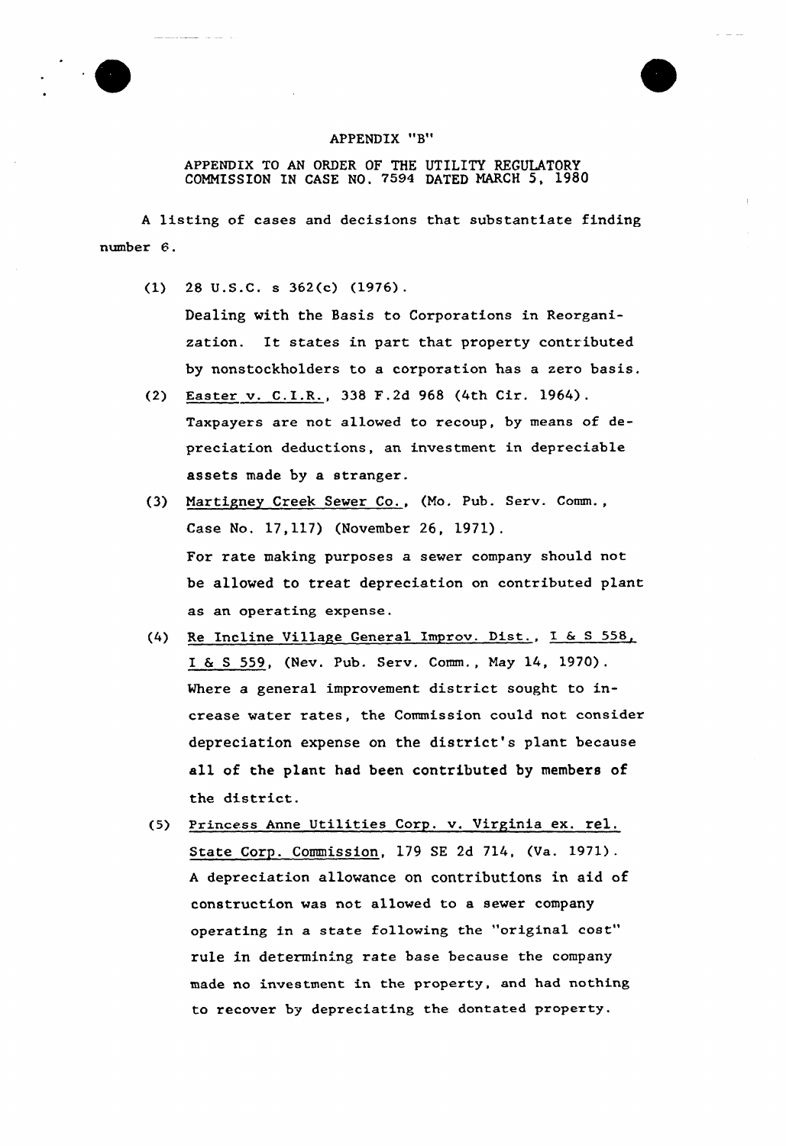



APPENDIX TO AN ORDER OF THE UTILITY REGULATORY COMMISSION IN CASE NO, 7594 DATED MARCH 5, 1980

<sup>A</sup> listing of cases and decisions that substantiate finding number 6.

(1) 28 U.S.C. s 362(c) (1976).

Dealing with the Basis to Corporations in Reorganization. It states in part that property contributed by nonstockholders to a corporation has a zero basis.

- (2) Easter v. C.I.R., 338 F.2d 968 (4th Cir. 1964). Taxpayers are not allowed to recoup, by means of depreciation deductions, an investment in depreciable assets made by a stranger.
- (3) Martigney Creek Sewer Co., (Mo. Pub. Serv. Comm., Case No. 17,117) (November 26, 1971). For rate making purposes a sewer company should not be allowed to treat depreciation on contributed plant as an operating expense.
- (4) Re Incline Village General Improv. Dist., I & <sup>S</sup> 558, I 6 <sup>S</sup> 559, (Nev. Pub. Serv. Comm., May 14, 1920). Where a general improvement district sought to increase water rates, the Commission could not consider depreciation expense on the district's plant because all of the plant had been contributed by members of the district.
- (5} Princess Anne Utilities Corp. v. Virginia ex. rel. State Corp. Commission, 179 SE 2d 714, (Va. 1971). <sup>A</sup> depreciation allowance on contributions in aid of construction was not allowed to a sewer company operating in a state following the "original cost" rule in determining rate base because the company made no investment in the property, and had nothing to recover by depreciating the dontated property.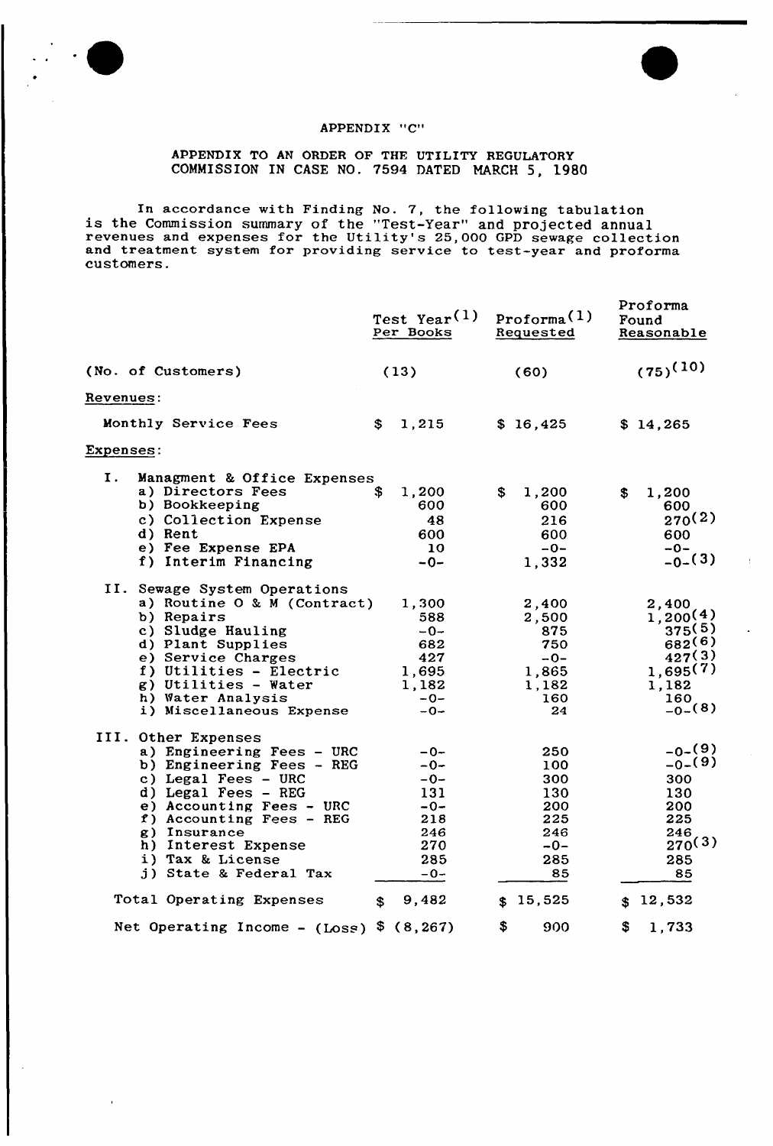



# APPENDIX "C"

APPENDIX TO AN ORDER OF THE UTILITY REGULATORY COMMISSION IN CASE NO. 7594 DATED MARCH 5, 1980

In accordance with Finding No. 7, the following tabulation is the Commission summary of the "Test-Year" and projected annual revenues and expenses for the Utility's 25,000 GPD sewage collection and treatment system for providing service to test-year and proform customers.

|                                                                                                                                                                                                                                                                                                                                                                                                             | Test Year <sup>(1)</sup><br>Per Books                                                                                    | Proforma <sup>(1)</sup><br>Requested                                                                                       | Proforma<br>Found<br>Reasonable                                                                                                                             |
|-------------------------------------------------------------------------------------------------------------------------------------------------------------------------------------------------------------------------------------------------------------------------------------------------------------------------------------------------------------------------------------------------------------|--------------------------------------------------------------------------------------------------------------------------|----------------------------------------------------------------------------------------------------------------------------|-------------------------------------------------------------------------------------------------------------------------------------------------------------|
| (No. of Customers)                                                                                                                                                                                                                                                                                                                                                                                          | (13)                                                                                                                     | (60)                                                                                                                       | $(75)^{(10)}$                                                                                                                                               |
| Revenues:                                                                                                                                                                                                                                                                                                                                                                                                   |                                                                                                                          |                                                                                                                            |                                                                                                                                                             |
| Monthly Service Fees                                                                                                                                                                                                                                                                                                                                                                                        | $\mathbf{s}$<br>1,215                                                                                                    | \$16,425                                                                                                                   | \$14,265                                                                                                                                                    |
| Expenses:                                                                                                                                                                                                                                                                                                                                                                                                   |                                                                                                                          |                                                                                                                            |                                                                                                                                                             |
| I.<br>Managment & Office Expenses<br>a) Directors Fees<br>b) Bookkeeping<br>c) Collection Expense<br>d) Rent<br>e) Fee Expense EPA<br>f) Interim Financing<br>II. Sewage System Operations<br>a) Routine O & M (Contract)<br>b) Repairs<br>c) Sludge Hauling<br>d) Plant Supplies<br>e) Service Charges<br>f) Utilities - Electric<br>g) Utilities - Water<br>h) Water Analysis<br>i) Miscellaneous Expense | 1,200<br>S<br>600<br>48<br>600<br>10<br>$-0-$<br>1,300<br>588<br>$-0-$<br>682<br>427<br>1,695<br>1,182<br>$-0-$<br>$-0-$ | \$<br>1,200<br>600<br>216<br>600<br>$-0-$<br>1,332<br>2,400<br>2,500<br>875<br>750<br>$-0-$<br>1,865<br>1,182<br>160<br>24 | \$<br>1,200<br>600<br>270(2)<br>600<br>$-0-$<br>$-0-(3)$<br>2,400<br>1,200(4)<br>375(5)<br>$682^{(6)}$<br>427(3)<br>1,695(7)<br>1,182<br>160<br>$_{-0-}(8)$ |
| III. Other Expenses<br>a) Engineering Fees - URC<br>b) Engineering Fees - REG<br>c) Legal Fees - URC<br>$d)$ Legal Fees - REG<br>e) Accounting Fees - URC<br>f) Accounting Fees - REG<br>g) Insurance<br>h) Interest Expense<br>i) Tax & License<br>j) State & Federal Tax                                                                                                                                  | $-0-$<br>$-0-$<br>$-0-$<br>131<br>$-0-$<br>218<br>246<br>270<br>285<br>$-0-$                                             | 250<br>100<br>300<br>130<br>200<br>225<br>246<br>$-0-$<br>285<br>85                                                        | $-0-(9)$<br>$_{-0-}(9)$<br>300<br>130<br>200<br>225<br>246<br>270(3)<br>285<br>85                                                                           |
| Total Operating Expenses                                                                                                                                                                                                                                                                                                                                                                                    | 9,482<br>\$                                                                                                              | \$15,525                                                                                                                   | \$12,532                                                                                                                                                    |
| Net Operating Income - $(Loss)$ \$ $(8, 267)$                                                                                                                                                                                                                                                                                                                                                               |                                                                                                                          | \$<br>900                                                                                                                  | S<br>1,733                                                                                                                                                  |